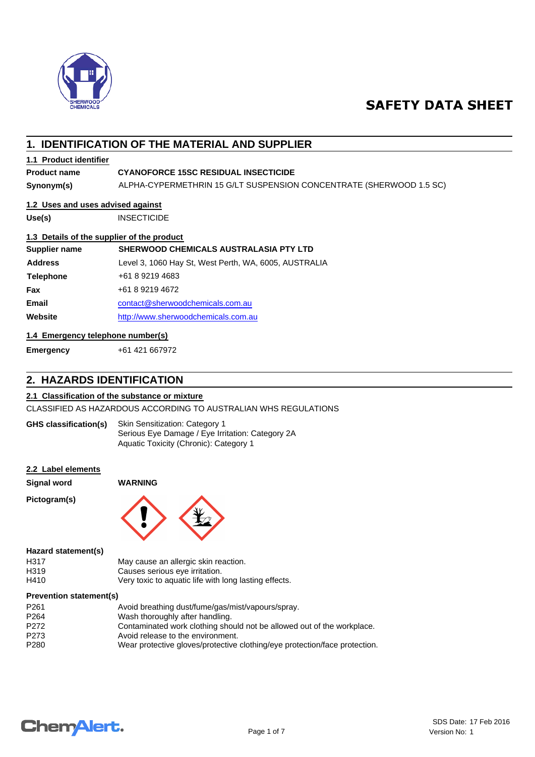

# **SAFETY DATA SHEET**

# **1. IDENTIFICATION OF THE MATERIAL AND SUPPLIER**

# **1.1 Product identifier**

## **Product name CYANOFORCE 15SC RESIDUAL INSECTICIDE**

**Synonym(s)** ALPHA-CYPERMETHRIN 15 G/LT SUSPENSION CONCENTRATE (SHERWOOD 1.5 SC)

# **1.2 Uses and uses advised against**

**Use(s)** INSECTICIDE

## **1.3 Details of the supplier of the product**

| Supplier name    | <b>SHERWOOD CHEMICALS AUSTRALASIA PTY LTD</b>         |
|------------------|-------------------------------------------------------|
| <b>Address</b>   | Level 3, 1060 Hay St, West Perth, WA, 6005, AUSTRALIA |
| <b>Telephone</b> | +61 8 9219 4683                                       |
| <b>Fax</b>       | +61 8 9219 4672                                       |
| <b>Email</b>     | contact@sherwoodchemicals.com.au                      |
| Website          | http://www.sherwoodchemicals.com.au                   |

# **1.4 Emergency telephone number(s)**

**Emergency** +61 421 667972

# **2. HAZARDS IDENTIFICATION**

## **2.1 Classification of the substance or mixture**

CLASSIFIED AS HAZARDOUS ACCORDING TO AUSTRALIAN WHS REGULATIONS

| <b>GHS classification(s)</b> | <b>Skin Sensitization: Category 1</b>            |  |
|------------------------------|--------------------------------------------------|--|
|                              | Serious Eye Damage / Eye Irritation: Category 2A |  |
|                              | Aquatic Toxicity (Chronic): Category 1           |  |

## **2.2 Label elements**

**Signal word WARNING**

**Pictogram(s)**



#### **Hazard statement(s)**

| H317 | May cause an allergic skin reaction.                  |
|------|-------------------------------------------------------|
| H319 | Causes serious eye irritation.                        |
| H410 | Very toxic to aquatic life with long lasting effects. |

#### **Prevention statement(s)**

| P <sub>261</sub> | Avoid breathing dust/fume/gas/mist/vapours/spray.                          |
|------------------|----------------------------------------------------------------------------|
| P <sub>264</sub> | Wash thoroughly after handling.                                            |
| P <sub>272</sub> | Contaminated work clothing should not be allowed out of the workplace.     |
| P273             | Avoid release to the environment.                                          |
| P <sub>280</sub> | Wear protective gloves/protective clothing/eye protection/face protection. |
|                  |                                                                            |

# **Chemalert.**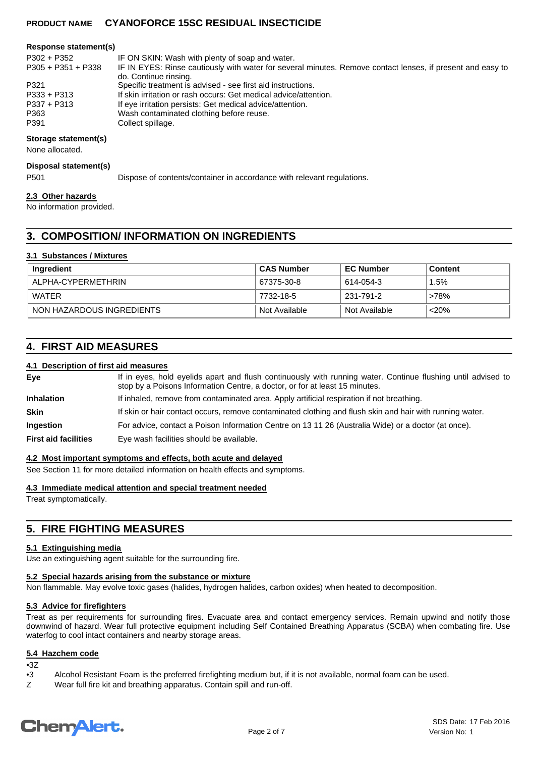#### **Response statement(s)**

| IF ON SKIN: Wash with plenty of soap and water.                                                            |
|------------------------------------------------------------------------------------------------------------|
| IF IN EYES: Rinse cautiously with water for several minutes. Remove contact lenses, if present and easy to |
| do. Continue rinsing.                                                                                      |
| Specific treatment is advised - see first aid instructions.                                                |
| If skin irritation or rash occurs: Get medical advice/attention.                                           |
| If eye irritation persists: Get medical advice/attention.                                                  |
| Wash contaminated clothing before reuse.                                                                   |
| Collect spillage.                                                                                          |
|                                                                                                            |

#### **Storage statement(s)**

None allocated.

#### **Disposal statement(s)**

P501 Dispose of contents/container in accordance with relevant regulations.

#### **2.3 Other hazards**

No information provided.

# **3. COMPOSITION/ INFORMATION ON INGREDIENTS**

#### **3.1 Substances / Mixtures**

| Ingredient                | <b>CAS Number</b> | <b>EC Number</b> | Content |
|---------------------------|-------------------|------------------|---------|
| ALPHA-CYPERMETHRIN        | 67375-30-8        | 614-054-3        | 1.5%    |
| WATER                     | 7732-18-5         | 231-791-2        | >78%    |
| NON HAZARDOUS INGREDIENTS | Not Available     | Not Available    | $<$ 20% |

# **4. FIRST AID MEASURES**

#### **4.1 Description of first aid measures**

If in eyes, hold eyelids apart and flush continuously with running water. Continue flushing until advised to stop by a Poisons Information Centre, a doctor, or for at least 15 minutes. **Eye Inhalation** If inhaled, remove from contaminated area. Apply artificial respiration if not breathing. **Skin** If skin or hair contact occurs, remove contaminated clothing and flush skin and hair with running water. **Ingestion** For advice, contact a Poison Information Centre on 13 11 26 (Australia Wide) or a doctor (at once). **First aid facilities** Eye wash facilities should be available.

#### **4.2 Most important symptoms and effects, both acute and delayed**

See Section 11 for more detailed information on health effects and symptoms.

**4.3 Immediate medical attention and special treatment needed**

Treat symptomatically.

# **5. FIRE FIGHTING MEASURES**

## **5.1 Extinguishing media**

Use an extinguishing agent suitable for the surrounding fire.

#### **5.2 Special hazards arising from the substance or mixture**

Non flammable. May evolve toxic gases (halides, hydrogen halides, carbon oxides) when heated to decomposition.

#### **5.3 Advice for firefighters**

Treat as per requirements for surrounding fires. Evacuate area and contact emergency services. Remain upwind and notify those downwind of hazard. Wear full protective equipment including Self Contained Breathing Apparatus (SCBA) when combating fire. Use waterfog to cool intact containers and nearby storage areas.

#### **5.4 Hazchem code**

- • $3Z$ <br>• $3$ Alcohol Resistant Foam is the preferred firefighting medium but, if it is not available, normal foam can be used.
- Z Wear full fire kit and breathing apparatus. Contain spill and run-off.

# **ChemAlert.**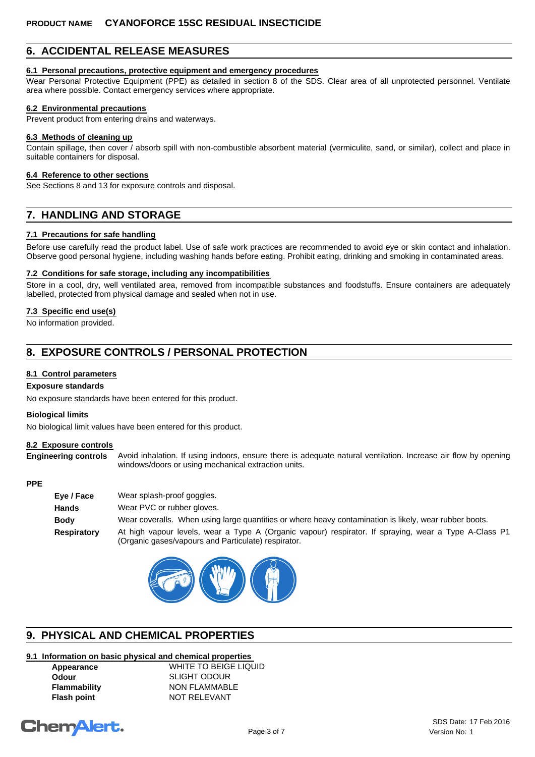# **6. ACCIDENTAL RELEASE MEASURES**

#### **6.1 Personal precautions, protective equipment and emergency procedures**

Wear Personal Protective Equipment (PPE) as detailed in section 8 of the SDS. Clear area of all unprotected personnel. Ventilate area where possible. Contact emergency services where appropriate.

#### **6.2 Environmental precautions**

Prevent product from entering drains and waterways.

#### **6.3 Methods of cleaning up**

Contain spillage, then cover / absorb spill with non-combustible absorbent material (vermiculite, sand, or similar), collect and place in suitable containers for disposal.

#### **6.4 Reference to other sections**

See Sections 8 and 13 for exposure controls and disposal.

# **7. HANDLING AND STORAGE**

#### **7.1 Precautions for safe handling**

Before use carefully read the product label. Use of safe work practices are recommended to avoid eye or skin contact and inhalation. Observe good personal hygiene, including washing hands before eating. Prohibit eating, drinking and smoking in contaminated areas.

#### **7.2 Conditions for safe storage, including any incompatibilities**

Store in a cool, dry, well ventilated area, removed from incompatible substances and foodstuffs. Ensure containers are adequately labelled, protected from physical damage and sealed when not in use.

#### **7.3 Specific end use(s)**

No information provided.

# **8. EXPOSURE CONTROLS / PERSONAL PROTECTION**

#### **8.1 Control parameters**

#### **Exposure standards**

No exposure standards have been entered for this product.

#### **Biological limits**

No biological limit values have been entered for this product.

#### **8.2 Exposure controls**

**Engineering controls** Avoid inhalation. If using indoors, ensure there is adequate natural ventilation. Increase air flow by opening windows/doors or using mechanical extraction units.

#### **PPE**

| Eye / Face  | Wear splash-proof goggles.                                                                                                                                   |
|-------------|--------------------------------------------------------------------------------------------------------------------------------------------------------------|
| Hands       | Wear PVC or rubber gloves.                                                                                                                                   |
| Body        | Wear coveralls. When using large quantities or where heavy contamination is likely, wear rubber boots.                                                       |
| Respiratory | At high vapour levels, wear a Type A (Organic vapour) respirator. If spraying, wear a Type A-Class P1<br>(Organic gases/vapours and Particulate) respirator. |



# **9. PHYSICAL AND CHEMICAL PROPERTIES**

# **9.1 Information on basic physical and chemical properties**

**Appearance** WHITE TO BEIGE LIQUID **Odour** SLIGHT ODOUR **Flammability** NON FLAMMABLE **Flash point NOT RELEVANT** 

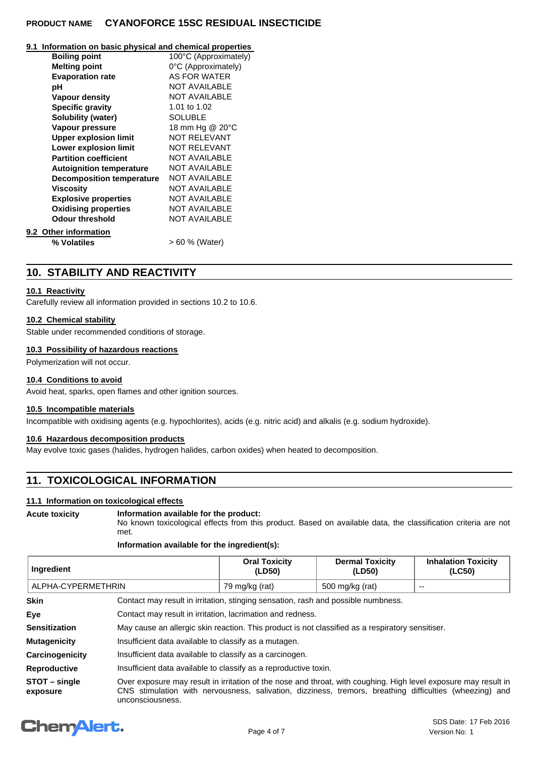#### **9.1 Information on basic physical and chemical properties**

| <b>Boiling point</b>             | 100°C (Approximately) |
|----------------------------------|-----------------------|
| <b>Melting point</b>             | 0°C (Approximately)   |
| <b>Evaporation rate</b>          | AS FOR WATER          |
| рH                               | <b>NOT AVAILABLE</b>  |
| Vapour density                   | <b>NOT AVAILABLE</b>  |
| <b>Specific gravity</b>          | 1.01 to 1.02          |
| Solubility (water)               | <b>SOLUBLE</b>        |
| Vapour pressure                  | 18 mm Hg @ 20°C       |
| <b>Upper explosion limit</b>     | <b>NOT RELEVANT</b>   |
| <b>Lower explosion limit</b>     | <b>NOT RELEVANT</b>   |
| <b>Partition coefficient</b>     | <b>NOT AVAILABLE</b>  |
| <b>Autoignition temperature</b>  | <b>NOT AVAILABLE</b>  |
| <b>Decomposition temperature</b> | <b>NOT AVAILABLE</b>  |
| Viscosity                        | <b>NOT AVAILABLE</b>  |
| <b>Explosive properties</b>      | <b>NOT AVAILABLE</b>  |
| <b>Oxidising properties</b>      | <b>NOT AVAILABLE</b>  |
| <b>Odour threshold</b>           | <b>NOT AVAILABLE</b>  |
| 9.2 Other information            |                       |
| % Volatiles                      | > 60 % (Water)        |
|                                  |                       |

# **10. STABILITY AND REACTIVITY**

## **10.1 Reactivity**

Carefully review all information provided in sections 10.2 to 10.6.

#### **10.2 Chemical stability**

Stable under recommended conditions of storage.

#### **10.3 Possibility of hazardous reactions**

Polymerization will not occur.

# **10.4 Conditions to avoid**

Avoid heat, sparks, open flames and other ignition sources.

## **10.5 Incompatible materials**

Incompatible with oxidising agents (e.g. hypochlorites), acids (e.g. nitric acid) and alkalis (e.g. sodium hydroxide).

#### **10.6 Hazardous decomposition products**

May evolve toxic gases (halides, hydrogen halides, carbon oxides) when heated to decomposition.

# **11. TOXICOLOGICAL INFORMATION**

## **11.1 Information on toxicological effects**

#### **Acute toxicity Information available for the product:**

No known toxicological effects from this product. Based on available data, the classification criteria are not met.

#### **Information available for the ingredient(s):**

| Ingredient         | <b>Oral Toxicity</b> | <b>Dermal Toxicity</b> | <b>Inhalation Toxicity</b> |
|--------------------|----------------------|------------------------|----------------------------|
|                    | (LD50)               | (LD50)                 | (LC50)                     |
| ALPHA-CYPERMETHRIN | 79 mg/kg (rat)       | 500 mg/kg (rat)        | $- -$                      |

| <b>Skin</b>             | Contact may result in irritation, stinging sensation, rash and possible numbness.                                                                                                                                                              |  |  |  |
|-------------------------|------------------------------------------------------------------------------------------------------------------------------------------------------------------------------------------------------------------------------------------------|--|--|--|
| Eye                     | Contact may result in irritation, lacrimation and redness.                                                                                                                                                                                     |  |  |  |
| <b>Sensitization</b>    | May cause an allergic skin reaction. This product is not classified as a respiratory sensitiser.                                                                                                                                               |  |  |  |
| <b>Mutagenicity</b>     | Insufficient data available to classify as a mutagen.                                                                                                                                                                                          |  |  |  |
| Carcinogenicity         | Insufficient data available to classify as a carcinogen.                                                                                                                                                                                       |  |  |  |
| <b>Reproductive</b>     | Insufficient data available to classify as a reproductive toxin.                                                                                                                                                                               |  |  |  |
| STOT-single<br>exposure | Over exposure may result in irritation of the nose and throat, with coughing. High level exposure may result in<br>CNS stimulation with nervousness, salivation, dizziness, tremors, breathing difficulties (wheezing) and<br>unconsciousness. |  |  |  |

# **ChemAlert.**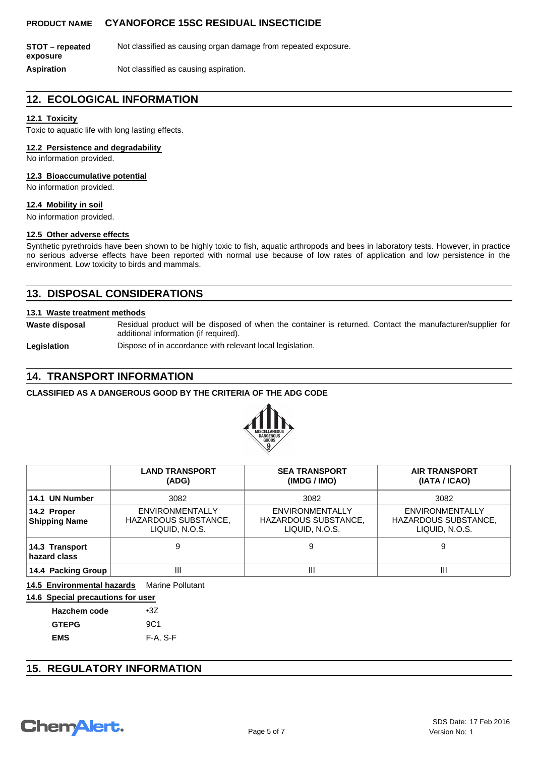**STOT – repeated** Not classified as causing organ damage from repeated exposure. **exposure**

**Aspiration** Not classified as causing aspiration.

# **12. ECOLOGICAL INFORMATION**

## **12.1 Toxicity**

Toxic to aquatic life with long lasting effects.

## **12.2 Persistence and degradability**

No information provided.

#### **12.3 Bioaccumulative potential**

No information provided.

## **12.4 Mobility in soil**

No information provided.

## **12.5 Other adverse effects**

Synthetic pyrethroids have been shown to be highly toxic to fish, aquatic arthropods and bees in laboratory tests. However, in practice no serious adverse effects have been reported with normal use because of low rates of application and low persistence in the environment. Low toxicity to birds and mammals.

# **13. DISPOSAL CONSIDERATIONS**

#### **13.1 Waste treatment methods**

**Waste disposal** Residual product will be disposed of when the container is returned. Contact the manufacturer/supplier for additional information (if required).

Legislation **Dispose of in accordance with relevant local legislation.** 

# **14. TRANSPORT INFORMATION**

# **CLASSIFIED AS A DANGEROUS GOOD BY THE CRITERIA OF THE ADG CODE**



|                                     | <b>LAND TRANSPORT</b><br>(ADG)                            | <b>SEA TRANSPORT</b><br>(IMDG / IMO)                      | <b>AIR TRANSPORT</b><br>(IATA / ICAO)                     |
|-------------------------------------|-----------------------------------------------------------|-----------------------------------------------------------|-----------------------------------------------------------|
| 14.1 UN Number                      | 3082                                                      | 3082                                                      | 3082                                                      |
| 14.2 Proper<br><b>Shipping Name</b> | ENVIRONMENTALLY<br>HAZARDOUS SUBSTANCE,<br>LIQUID, N.O.S. | ENVIRONMENTALLY<br>HAZARDOUS SUBSTANCE,<br>LIQUID, N.O.S. | ENVIRONMENTALLY<br>HAZARDOUS SUBSTANCE,<br>LIQUID, N.O.S. |
| 14.3 Transport<br>hazard class      |                                                           | 9                                                         | 9                                                         |
| 14.4 Packing Group                  | Ш                                                         | Ш                                                         | Ш                                                         |

**14.5 Environmental hazards** Marine Pollutant

|  | 14.6 Special precautions for user |  |
|--|-----------------------------------|--|
|  |                                   |  |

| <b>Hazchem code</b> | $\bullet 37$    |
|---------------------|-----------------|
| <b>GTEPG</b>        | 9C <sub>1</sub> |
| <b>EMS</b>          | F-A, S-F        |

# **15. REGULATORY INFORMATION**

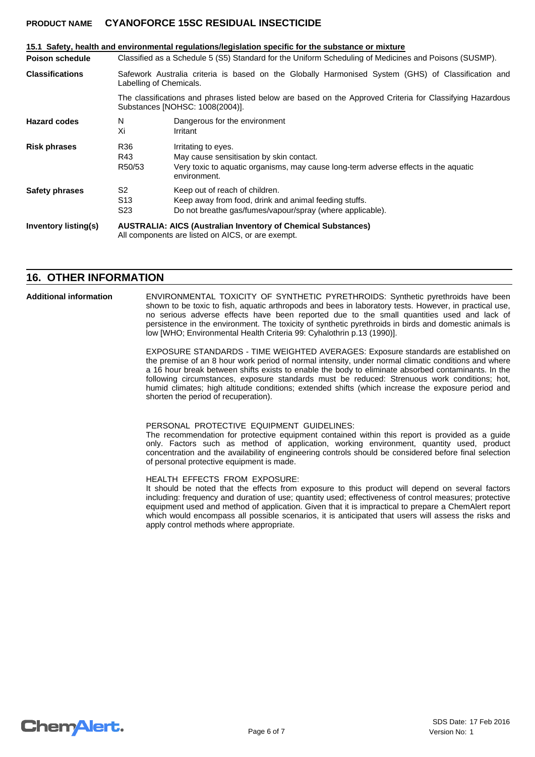|                        |                                                                                                                                              | 15.1 Safety, health and environmental regulations/legislation specific for the substance or mixture                                                                    |  |  |
|------------------------|----------------------------------------------------------------------------------------------------------------------------------------------|------------------------------------------------------------------------------------------------------------------------------------------------------------------------|--|--|
| <b>Poison schedule</b> | Classified as a Schedule 5 (S5) Standard for the Uniform Scheduling of Medicines and Poisons (SUSMP).                                        |                                                                                                                                                                        |  |  |
| <b>Classifications</b> | Safework Australia criteria is based on the Globally Harmonised System (GHS) of Classification and<br>Labelling of Chemicals.                |                                                                                                                                                                        |  |  |
|                        | The classifications and phrases listed below are based on the Approved Criteria for Classifying Hazardous<br>Substances [NOHSC: 1008(2004)]. |                                                                                                                                                                        |  |  |
| <b>Hazard codes</b>    | N<br>Xi                                                                                                                                      | Dangerous for the environment<br>Irritant                                                                                                                              |  |  |
| <b>Risk phrases</b>    | R36<br>R43<br>R50/53                                                                                                                         | Irritating to eyes.<br>May cause sensitisation by skin contact.<br>Very toxic to aquatic organisms, may cause long-term adverse effects in the aquatic<br>environment. |  |  |
| Safety phrases         | S <sub>2</sub><br>S <sub>13</sub><br>S <sub>23</sub>                                                                                         | Keep out of reach of children.<br>Keep away from food, drink and animal feeding stuffs.<br>Do not breathe gas/fumes/vapour/spray (where applicable).                   |  |  |
| Inventory listing(s)   | <b>AUSTRALIA: AICS (Australian Inventory of Chemical Substances)</b><br>All components are listed on AICS, or are exempt.                    |                                                                                                                                                                        |  |  |

# **16. OTHER INFORMATION**

ENVIRONMENTAL TOXICITY OF SYNTHETIC PYRETHROIDS: Synthetic pyrethroids have been shown to be toxic to fish, aquatic arthropods and bees in laboratory tests. However, in practical use, no serious adverse effects have been reported due to the small quantities used and lack of persistence in the environment. The toxicity of synthetic pyrethroids in birds and domestic animals is low [WHO; Environmental Health Criteria 99: Cyhalothrin p.13 (1990)]. **Additional information**

> EXPOSURE STANDARDS - TIME WEIGHTED AVERAGES: Exposure standards are established on the premise of an 8 hour work period of normal intensity, under normal climatic conditions and where a 16 hour break between shifts exists to enable the body to eliminate absorbed contaminants. In the following circumstances, exposure standards must be reduced: Strenuous work conditions; hot, humid climates; high altitude conditions; extended shifts (which increase the exposure period and shorten the period of recuperation).

PERSONAL PROTECTIVE EQUIPMENT GUIDELINES:

The recommendation for protective equipment contained within this report is provided as a guide only. Factors such as method of application, working environment, quantity used, product concentration and the availability of engineering controls should be considered before final selection of personal protective equipment is made.

HEALTH EFFECTS FROM EXPOSURE:

It should be noted that the effects from exposure to this product will depend on several factors including: frequency and duration of use; quantity used; effectiveness of control measures; protective equipment used and method of application. Given that it is impractical to prepare a ChemAlert report which would encompass all possible scenarios, it is anticipated that users will assess the risks and apply control methods where appropriate.